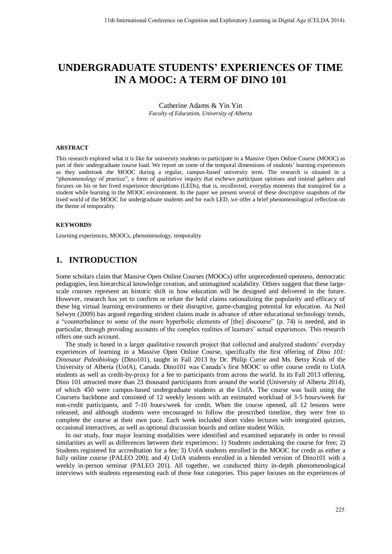# **UNDERGRADUATE STUDENTS' EXPERIENCES OF TIME IN A MOOC: A TERM OF DINO 101**

Catherine Adams & Yin Yin *Faculty of Education, University of Alberta* 

#### **ABSTRACT**

This research explored what it is like for university students to participate in a Massive Open Online Course (MOOC) as part of their undergraduate course load. We report on some of the temporal dimensions of students' learning experiences as they undertook the MOOC during a regular, campus-based university term. The research is situated in a "phenomenology of practice", a form of qualitative inquiry that eschews participant opinions and instead gathers and focuses on his or her lived experience descriptions (LEDs), that is, recollected, everyday moments that transpired for a student while learning in the MOOC environment. In the paper we present several of these descriptive snapshots of the lived world of the MOOC for undergraduate students and for each LED, we offer a brief phenomenological reflection on the theme of temporality.

#### **KEYWORDS**

Learning experiences, MOOCs, phenomenology, temporality

#### **1. INTRODUCTION**

Some scholars claim that Massive Open Online Courses (MOOCs) offer unprecedented openness, democratic pedagogies, less hierarchical knowledge creation, and unimagined scalability. Others suggest that these largescale courses represent an historic shift in how education will be designed and delivered in the future. However, research has yet to confirm or refute the bold claims rationalizing the popularity and efficacy of these big virtual learning environments or their disruptive, game-changing potential for education. As Neil Selwyn (2009) has argued regarding strident claims made in advance of other educational technology trends, a "counterbalance to some of the more hyperbolic elements of [the] discourse" (p. 74) is needed, and in particular, through providing accounts of the complex realities of learners' actual experiences. This research offers one such account.

The study is based in a larger qualitative research project that collected and analyzed students' everyday experiences of learning in a Massive Open Online Course, specifically the first offering of *Dino 101: Dinosaur Paleobiology* (Dino101), taught in Fall 2013 by Dr. Philip Currie and Ms. Betsy Kruk of the University of Alberta (UofA), Canada. Dino101 was Canada's first MOOC to offer course credit to UofA students as well as credit-by-proxy for a fee to participants from across the world. In its Fall 2013 offering, Dino 101 attracted more than 23 thousand participants from around the world (University of Alberta 2014), of which 450 were campus-based undergraduate students at the UofA. The course was built using the Coursera backbone and consisted of 12 weekly lessons with an estimated workload of 3-5 hours/week for non-credit participants, and 7-10 hours/week for credit. When the course opened, all 12 lessons were released, and although students were encouraged to follow the prescribed timeline, they were free to complete the course at their own pace. Each week included short video lectures with integrated quizzes, occasional interactives, as well as optional discussion boards and online student Wikis.

In our study, four major learning modalities were identified and examined separately in order to reveal similarities as well as differences between their experiences: 1) Students undertaking the course for free; 2) Students registered for accreditation for a fee; 3) UofA students enrolled in the MOOC for credit as either a fully online course (PALEO 200); and 4) UofA students enrolled in a blended version of Dino101 with a weekly in-person seminar (PALEO 201). All together, we conducted thirty in-depth phenomenological interviews with students representing each of these four categories. This paper focuses on the experiences of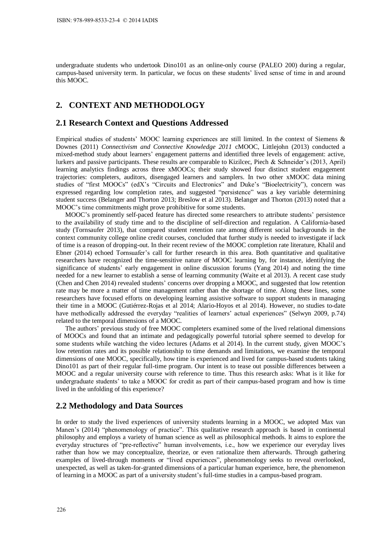undergraduate students who undertook Dino101 as an online-only course (PALEO 200) during a regular, campus-based university term. In particular, we focus on these students' lived sense of time in and around this MOOC.

# **2. CONTEXT AND METHODOLOGY**

#### **2.1 Research Context and Questions Addressed**

Empirical studies of students' MOOC learning experiences are still limited. In the context of Siemens & Downes (2011) *Connectivism and Connective Knowledge 2011* cMOOC, Littlejohn (2013) conducted a mixed-method study about learners' engagement patterns and identified three levels of engagement: active, lurkers and passive participants. These results are comparable to Kizilcec, Piech & Schneider's (2013, April) learning analytics findings across three xMOOCs; their study showed four distinct student engagement trajectories: completers, auditors, disengaged learners and samplers. In two other xMOOC data mining studies of "first MOOCs" (edX's "Circuits and Electronics" and Duke's "Bioelectricity"), concern was expressed regarding low completion rates, and suggested "persistence" was a key variable determining student success (Belanger and Thorton 2013; Breslow et al 2013). Belanger and Thorton (2013) noted that a MOOC's time commitments might prove prohibitive for some students.

MOOC's prominently self-paced feature has directed some researchers to attribute students' persistence to the availability of study time and to the discipline of self-direction and regulation. A California-based study (Tornsaufer 2013), that compared student retention rate among different social backgrounds in the context community college online credit courses, concluded that further study is needed to investigate if lack of time is a reason of dropping-out. In their recent review of the MOOC completion rate literature, Khalil and Ebner (2014) echoed Tornsuafer's call for further research in this area. Both quantitative and qualitative researchers have recognized the time-sensitive nature of MOOC learning by, for instance, identifying the significance of students' early engagement in online discussion forums (Yang 2014) and noting the time needed for a new learner to establish a sense of learning community (Waite et al 2013). A recent case study (Chen and Chen 2014) revealed students' concerns over dropping a MOOC, and suggested that low retention rate may be more a matter of time management rather than the shortage of time. Along these lines, some researchers have focused efforts on developing learning assistive software to support students in managing their time in a MOOC (Gutiérrez-Rojas et al 2014; Alario-Hoyos et al 2014). However, no studies to-date have methodically addressed the everyday "realities of learners' actual experiences" (Selwyn 2009, p.74) related to the temporal dimensions of a MOOC.

The authors' previous study of free MOOC completers examined some of the lived relational dimensions of MOOCs and found that an intimate and pedagogically powerful tutorial sphere seemed to develop for some students while watching the video lectures (Adams et al 2014). In the current study, given MOOC's low retention rates and its possible relationship to time demands and limitations, we examine the temporal dimensions of one MOOC, specifically, how time is experienced and lived for campus-based students taking Dino101 as part of their regular full-time program. Our intent is to tease out possible differences between a MOOC and a regular university course with reference to time. Thus this research asks: What is it like for undergraduate students' to take a MOOC for credit as part of their campus-based program and how is time lived in the unfolding of this experience?

#### **2.2 Methodology and Data Sources**

In order to study the lived experiences of university students learning in a MOOC, we adopted Max van Manen's (2014) "phenomenology of practice". This qualitative research approach is based in continental philosophy and employs a variety of human science as well as philosophical methods. It aims to explore the everyday structures of "pre-reflective" human involvements, i.e., how we experience our everyday lives rather than how we may conceptualize, theorize, or even rationalize them afterwards. Through gathering examples of lived-through moments or "lived experiences", phenomenology seeks to reveal overlooked, unexpected, as well as taken-for-granted dimensions of a particular human experience, here, the phenomenon of learning in a MOOC as part of a university student's full-time studies in a campus-based program.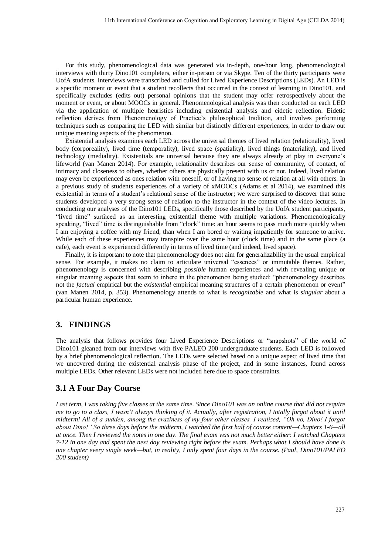For this study, phenomenological data was generated via in-depth, one-hour long, phenomenological interviews with thirty Dino101 completers, either in-person or via Skype. Ten of the thirty participants were UofA students. Interviews were transcribed and culled for Lived Experience Descriptions (LEDs). An LED is a specific moment or event that a student recollects that occurred in the context of learning in Dino101, and specifically excludes (edits out) personal opinions that the student may offer retrospectively about the moment or event, or about MOOCs in general. Phenomenological analysis was then conducted on each LED via the application of multiple heuristics including existential analysis and eidetic reflection. Eidetic reflection derives from Phenomenology of Practice's philosophical tradition, and involves performing techniques such as comparing the LED with similar but distinctly different experiences, in order to draw out unique meaning aspects of the phenomenon.

Existential analysis examines each LED across the universal themes of lived relation (relationality), lived body (corporeality), lived time (temporality), lived space (spatiality), lived things (materiality), and lived technology (mediality). Existentials are universal because they are always already at play in everyone's lifeworld (van Manen 2014). For example, relationality describes our sense of community, of contact, of intimacy and closeness to others, whether others are physically present with us or not. Indeed, lived relation may even be experienced as ones relation with oneself, or of having no sense of relation at all with others. In a previous study of students experiences of a variety of xMOOCs (Adams et al 2014), we examined this existential in terms of a student's relational sense of the instructor; we were surprised to discover that some students developed a very strong sense of relation to the instructor in the context of the video lectures. In conducting our analyses of the Dino101 LEDs, specifically those described by the UofA student participants, "lived time" surfaced as an interesting existential theme with multiple variations. Phenomenologically speaking, "lived" time is distinguishable from "clock" time: an hour seems to pass much more quickly when I am enjoying a coffee with my friend, than when I am bored or waiting impatiently for someone to arrive. While each of these experiences may transpire over the same hour (clock time) and in the same place (a cafe), each event is experienced differently in terms of lived time (and indeed, lived space).

Finally, it is important to note that phenomenology does not aim for generalizability in the usual empirical sense. For example, it makes no claim to articulate universal "essences" or immutable themes. Rather, phenomenology is concerned with describing *possible* human experiences and with revealing unique or singular meaning aspects that seem to inhere in the phenomenon being studied: "phenomenology describes not the *factual* empirical but the *existential* empirical meaning structures of a certain phenomenon or event" (van Manen 2014, p. 353). Phenomenology attends to what is *recognizable* and what is *singular* about a particular human experience.

#### **3. FINDINGS**

The analysis that follows provides four Lived Experience Descriptions or "snapshots" of the world of Dino101 gleaned from our interviews with five PALEO 200 undergraduate students. Each LED is followed by a brief phenomenological reflection. The LEDs were selected based on a unique aspect of lived time that we uncovered during the existential analysis phase of the project, and in some instances, found across multiple LEDs. Other relevant LEDs were not included here due to space constraints.

### **3.1 A Four Day Course**

Last term, I was taking five classes at the same time. Since Dino101 was an online course that did not require *me to go to a class, I wasn't always thinking of it. Actually, after registration, I totally forgot about it until midterm! All of a sudden, among the craziness of my four other classes, I realized, "Oh no, Dino! I forgot about Dino!" So three days before the midterm, I watched the first half of course content—Chapters 1-6—all at once. Then I reviewed the notes in one day. The final exam was not much better either: I watched Chapters 7-12 in one day and spent the next day reviewing right before the exam. Perhaps what I should have done is one chapter every single week—but, in reality, I only spent four days in the course. (Paul, Dino101/PALEO 200 student)*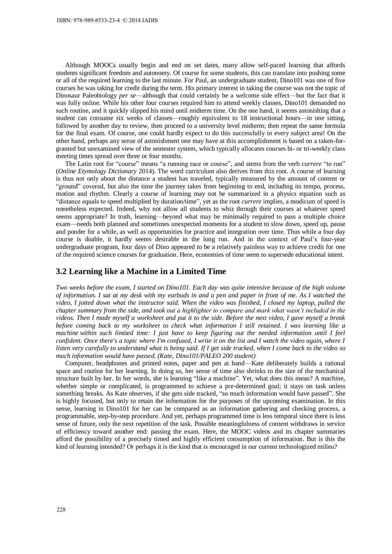Although MOOCs usually begin and end on set dates, many allow self-paced learning that affords students significant freedom and autonomy. Of course for some students, this can translate into pushing some or all of the required learning to the last minute. For Paul, an undergraduate student, Dino101 was one of five courses he was taking for credit during the term. His primary interest in taking the course was not the topic of Dinosaur Paleobiology *per se*—although that could certainly be a welcome side effect—but the fact that it was fully online. While his other four courses required him to attend weekly classes, Dino101 demanded no such routine, and it quickly slipped his mind until midterm time. On the one hand, it seems astonishing that a student can consume six weeks of classes—roughly equivalent to 18 instructional hours—in one sitting, followed by another day to review, then proceed to a university level midterm; then repeat the same formula for the final exam. Of course, one could hardly expect to do this successfully in every subject area! On the other hand, perhaps any sense of astonishment one may have at this accomplishment is based on a taken-forgranted but unexamined view of the semester system, which typically allocates courses bi- or tri-weekly class meeting times spread over three or four months.

The Latin root for "course" means "a running race or course", and stems from the verb *currere* "to run" (*Online Etymology Dictionary* 2014). The word curriculum also derives from this root. A course of learning is thus not only about the distance a student has traveled, typically measured by the amount of content or "ground" covered, but also the time the journey takes from beginning to end, including its tempo, process, motion and rhythm. Clearly a course of learning may not be summarized in a physics equation such as "distance equals to speed multiplied by duration/time", yet as the root *currere* implies, a modicum of speed is nonetheless expected. Indeed, why not allow all students to whiz through their courses at whatever speed seems appropriate? In truth, learning—beyond what may be minimally required to pass a multiple choice exam—needs both planned and sometimes unexpected moments for a student to slow down, speed up, pause and ponder for a while, as well as opportunities for practice and integration over time. Thus while a four day course is doable, it hardly seems desirable in the long run. And in the context of Paul's four-year undergraduate program, four days of Dino appeared to be a relatively painless way to achieve credit for one of the required science courses for graduation. Here, economies of time seem to supersede educational intent.

#### **3.2 Learning like a Machine in a Limited Time**

*Two weeks before the exam, I started on Dino101. Each day was quite intensive because of the high volume of information. I sat at my desk with my earbuds in and a pen and paper in front of me. As I watched the video, I jotted down what the instructor said. When the video was finished, I closed my laptop, pulled the chapter summary from the side, and took out a highlighter to compare and mark what wasn't included in the videos. Then I made myself a worksheet and put it to the side. Before the next video, I gave myself a break before coming back to my worksheet to check what information I still retained. I was learning like a machine within such limited time: I just have to keep figuring out the needed information until I feel confident. Once there's a topic where I'm confused, I write it on the list and I watch the video again, where I listen very carefully to understand what is being said. If I get side tracked, when I come back to the video so much information would have passed. (Kate, Dino101/PALEO 200 student)* 

Computer, headphones and printed notes, paper and pen at hand—Kate deliberately builds a rational space and routine for her learning. In doing so, her sense of time also shrinks to the size of the mechanical structure built by her. In her words, she is learning "like a machine". Yet, what does this mean? A machine, whether simple or complicated, is programmed to achieve a pre-determined goal; it stays on task unless something breaks. As Kate observes, if she gets side tracked, "so much information would have passed". She is highly focused, but only to retain the information for the purposes of the upcoming examination. In this sense, learning in Dino101 for her can be compared as an information gathering and checking process, a programmable, step-by-step procedure. And yet, perhaps programmed time is less temporal since there is less sense of future, only the next repetition of the task. Possible meaningfulness of content withdraws in service of efficiency toward another end: passing the exam. Here, the MOOC videos and its chapter summaries afford the possibility of a precisely timed and highly efficient consumption of information. But is this the kind of learning intended? Or perhaps it is the kind that is encouraged in our current technologized milieu?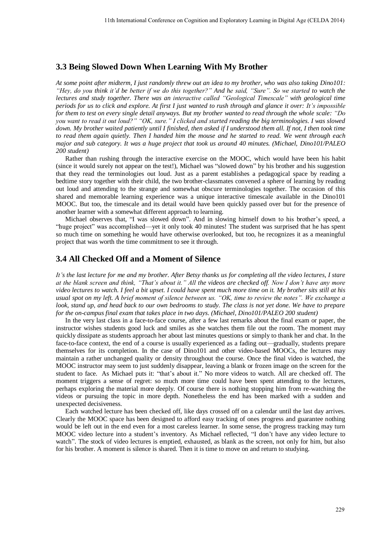# **3.3 Being Slowed Down When Learning With My Brother**

*At some point after midterm, I just randomly threw out an idea to my brother, who was also taking Dino101: "Hey, do you think it'd be better if we do this together?" And he said, "Sure". So we started to watch the lectures and study together. There was an interactive called "Geological Timescale" with geological time periods for us to click and explore. At first I just wanted to rush through and glance it over: It's impossible for them to test on every single detail anyways. But my brother wanted to read through the whole scale: "Do you want to read it out loud?" "OK, sure." I clicked and started reading the big terminologies. I was slowed*  down. My brother waited patiently until I finished, then asked if I understood them all. If not, I then took time *to read them again quietly. Then I handed him the mouse and he started to read. We went through each major and sub category. It was a huge project that took us around 40 minutes. (Michael, Dino101/PALEO 200 student)* 

Rather than rushing through the interactive exercise on the MOOC, which would have been his habit (since it would surely not appear on the test!), Michael was "slowed down" by his brother and his suggestion that they read the terminologies out loud. Just as a parent establishes a pedagogical space by reading a bedtime story together with their child, the two brother-classmates convened a sphere of learning by reading out loud and attending to the strange and somewhat obscure terminologies together. The occasion of this shared and memorable learning experience was a unique interactive timescale available in the Dino101 MOOC. But too, the timescale and its detail would have been quickly passed over but for the presence of another learner with a somewhat different approach to learning.

Michael observes that, "I was slowed down". And in slowing himself down to his brother's speed, a "huge project" was accomplished—yet it only took 40 minutes! The student was surprised that he has spent so much time on something he would have otherwise overlooked, but too, he recognizes it as a meaningful project that was worth the time commitment to see it through.

# **3.4 All Checked Off and a Moment of Silence**

*It's the last lecture for me and my brother. After Betsy thanks us for completing all the video lectures, I stare at the blank screen and think, "That's about it." All the videos are checked off. Now I don't have any more video lectures to watch. I feel a bit upset. I could have spent much more time on it. My brother sits still at his usual spot on my left. A brief moment of silence between us. "OK, time to review the notes". We exchange a look, stand up, and head back to our own bedrooms to study. The class is not yet done. We have to prepare for the on-campus final exam that takes place in two days. (Michael, Dino101/PALEO 200 student)* 

In the very last class in a face-to-face course, after a few last remarks about the final exam or paper, the instructor wishes students good luck and smiles as she watches them file out the room. The moment may quickly dissipate as students approach her about last minutes questions or simply to thank her and chat. In the face-to-face context, the end of a course is usually experienced as a fading out—gradually, students prepare themselves for its completion. In the case of Dino101 and other video-based MOOCs, the lectures may maintain a rather unchanged quality or density throughout the course. Once the final video is watched, the MOOC instructor may seem to just suddenly disappear, leaving a blank or frozen image on the screen for the student to face. As Michael puts it: "that's about it." No more videos to watch. All are checked off. The moment triggers a sense of regret: so much more time could have been spent attending to the lectures, perhaps exploring the material more deeply. Of course there is nothing stopping him from re-watching the videos or pursuing the topic in more depth. Nonetheless the end has been marked with a sudden and unexpected decisiveness.

Each watched lecture has been checked off, like days crossed off on a calendar until the last day arrives. Clearly the MOOC space has been designed to afford easy tracking of ones progress and guarantee nothing would be left out in the end even for a most careless learner. In some sense, the progress tracking may turn MOOC video lecture into a student's inventory. As Michael reflected, "I don't have any video lecture to watch". The stock of video lectures is emptied, exhausted, as blank as the screen, not only for him, but also for his brother. A moment is silence is shared. Then it is time to move on and return to studying.